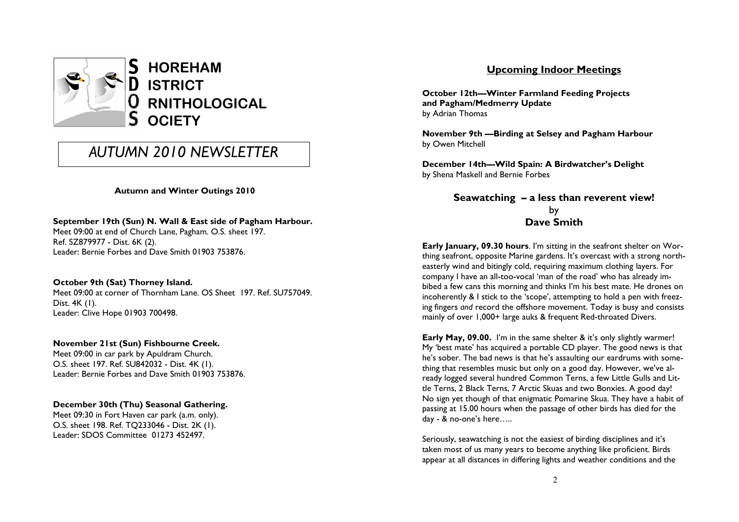

# AUTUMN 2010 NEWSLETTER

## Autumn and Winter Outings 2010

## September 19th (Sun) N. Wall & East side of Pagham Harbour.

Meet 09:00 at end of Church Lane, Pagham. O.S. sheet 197. Ref. SZ879977 - Dist. 6K (2). Leader: Bernie Forbes and Dave Smith 01903 753876.

## October 9th (Sat) Thorney Island.

 Meet 09:00 at corner of Thornham Lane. OS Sheet 197. Ref. SU757049. Dist. 4K (1). Leader: Clive Hope 01903 700498.

## November 21st (Sun) Fishbourne Creek.

Meet 09:00 in car park by Apuldram Church. O.S. sheet 197. Ref. SU842032 - Dist. 4K (1). Leader: Bernie Forbes and Dave Smith 01903 753876.

## December 30th (Thu) Seasonal Gathering.

Meet 09:30 in Fort Haven car park (a.m. only). O.S. sheet 198. Ref. TQ233046 - Dist. 2K (1). Leader: SDOS Committee 01273 452497.

## Upcoming Indoor Meetings

October 12th—Winter Farmland Feeding Projects and Pagham/Medmerry Update by Adrian Thomas

November 9th —Birding at Selsey and Pagham Harbour by Owen Mitchell

December 14th—Wild Spain: A Birdwatcher's Delight by Shena Maskell and Bernie Forbes

> Seawatching – a less than reverent view! by Dave Smith

Early January, 09.30 hours. I'm sitting in the seafront shelter on Worthing seafront, opposite Marine gardens. It's overcast with a strong northeasterly wind and bitingly cold, requiring maximum clothing layers. For company I have an all-too-vocal 'man of the road' who has already imbibed a few cans this morning and thinks I'm his best mate. He drones on incoherently & I stick to the 'scope', attempting to hold a pen with freezing fingers and record the offshore movement. Today is busy and consists mainly of over 1,000+ large auks & frequent Red-throated Divers.

Early May, 09.00. I'm in the same shelter & it's only slightly warmer! My 'best mate' has acquired a portable CD player. The good news is that he's sober. The bad news is that he's assaulting our eardrums with something that resembles music but only on a good day. However, we've already logged several hundred Common Terns, a few Little Gulls and Little Terns, 2 Black Terns, 7 Arctic Skuas and two Bonxies. A good day! No sign yet though of that enigmatic Pomarine Skua. They have a habit of passing at 15.00 hours when the passage of other birds has died for the day - & no-one's here…..

Seriously, seawatching is not the easiest of birding disciplines and it's taken most of us many years to become anything like proficient. Birds appear at all distances in differing lights and weather conditions and the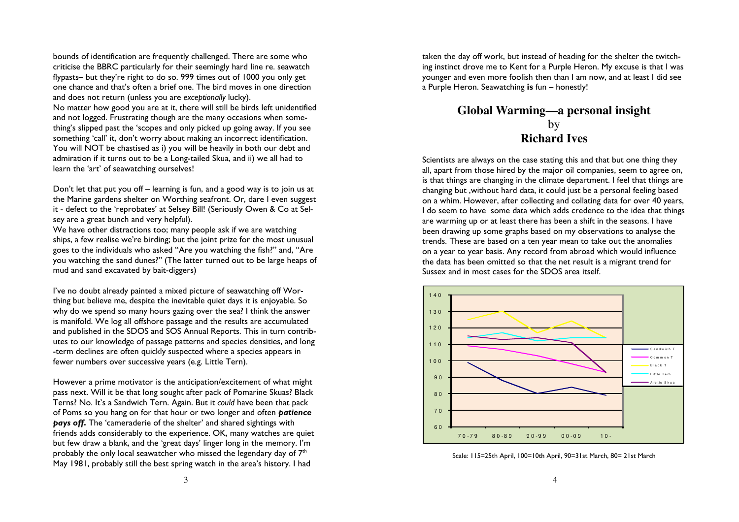bounds of identification are frequently challenged. There are some who criticise the BBRC particularly for their seemingly hard line re. seawatch flypasts– but they're right to do so. 999 times out of 1000 you only get one chance and that's often a brief one. The bird moves in one direction and does not return (unless you are exceptionally lucky). No matter how good you are at it, there will still be birds left unidentified and not logged. Frustrating though are the many occasions when something's slipped past the 'scopes and only picked up going away. If you see something 'call' it, don't worry about making an incorrect identification. You will NOT be chastised as i) you will be heavily in both our debt and admiration if it turns out to be a Long-tailed Skua, and ii) we all had to

learn the 'art' of seawatching ourselves! Don't let that put you off – learning is fun, and a good way is to join us at the Marine gardens shelter on Worthing seafront. Or, dare I even suggest it - defect to the 'reprobates' at Selsey Bill! (Seriously Owen & Co at Sel-

sey are a great bunch and very helpful).

 We have other distractions too; many people ask if we are watching ships, a few realise we're birding; but the joint prize for the most unusual goes to the individuals who asked "Are you watching the fish?" and, "Are you watching the sand dunes?" (The latter turned out to be large heaps of mud and sand excavated by bait-diggers)

I've no doubt already painted a mixed picture of seawatching off Worthing but believe me, despite the inevitable quiet days it is enjoyable. So why do we spend so many hours gazing over the sea? I think the answer is manifold. We log all offshore passage and the results are accumulated and published in the SDOS and SOS Annual Reports. This in turn contributes to our knowledge of passage patterns and species densities, and long-term declines are often quickly suspected where a species appears in fewer numbers over successive years (e.g. Little Tern).

However a prime motivator is the anticipation/excitement of what might pass next. Will it be that long sought after pack of Pomarine Skuas? Black Terns? No. It's a Sandwich Tern. Again. But it could have been that pack of Poms so you hang on for that hour or two longer and often **patience** pays off. The 'cameraderie of the shelter' and shared sightings with friends adds considerably to the experience. OK, many watches are quiet but few draw a blank, and the 'great days' linger long in the memory. I'm probably the only local seawatcher who missed the legendary day of  $7<sup>th</sup>$ May 1981, probably still the best spring watch in the area's history. I had

taken the day off work, but instead of heading for the shelter the twitching instinct drove me to Kent for a Purple Heron. My excuse is that I was younger and even more foolish then than I am now, and at least I did see a Purple Heron. Seawatching is fun – honestly!

## **Global Warming—a personal insight** by **Richard Ives**

Scientists are always on the case stating this and that but one thing they all, apart from those hired by the major oil companies, seem to agree on, is that things are changing in the climate department. I feel that things are changing but ,without hard data, it could just be a personal feeling based on a whim. However, after collecting and collating data for over 40 years, I do seem to have some data which adds credence to the idea that things are warming up or at least there has been a shift in the seasons. I have been drawing up some graphs based on my observations to analyse the trends. These are based on a ten year mean to take out the anomalies on a year to year basis. Any record from abroad which would influence the data has been omitted so that the net result is a migrant trend for Sussex and in most cases for the SDOS area itself.



Scale: 115=25th April, 100=10th April, 90=31st March, 80= 21st March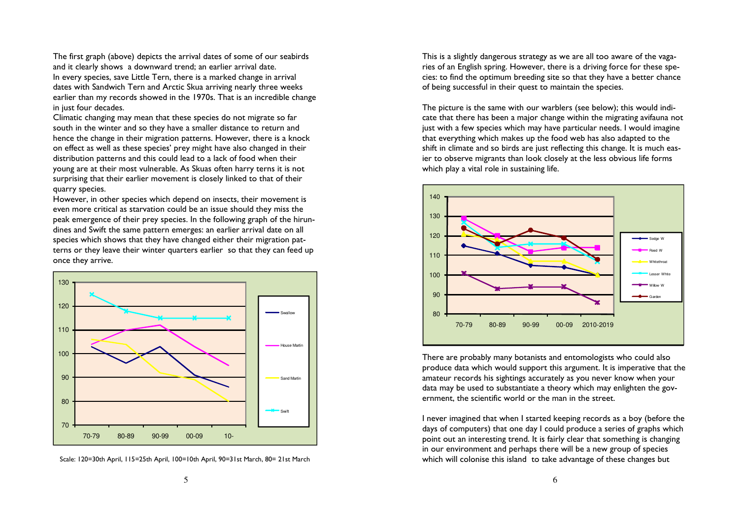The first graph (above) depicts the arrival dates of some of our seabirds and it clearly shows a downward trend; an earlier arrival date. In every species, save Little Tern, there is a marked change in arrival dates with Sandwich Tern and Arctic Skua arriving nearly three weeks earlier than my records showed in the 1970s. That is an incredible change in just four decades.

 Climatic changing may mean that these species do not migrate so far south in the winter and so they have a smaller distance to return and hence the change in their migration patterns. However, there is a knock on effect as well as these species' prey might have also changed in their distribution patterns and this could lead to a lack of food when their young are at their most vulnerable. As Skuas often harry terns it is not surprising that their earlier movement is closely linked to that of their quarry species.

 However, in other species which depend on insects, their movement is even more critical as starvation could be an issue should they miss the peak emergence of their prey species. In the following graph of the hirundines and Swift the same pattern emerges: an earlier arrival date on all species which shows that they have changed either their migration patterns or they leave their winter quarters earlier so that they can feed up once they arrive.



Scale: 120=30th April, 115=25th April, 100=10th April, 90=31st March, 80= 21st March

This is a slightly dangerous strategy as we are all too aware of the vagaries of an English spring. However, there is a driving force for these species: to find the optimum breeding site so that they have a better chance of being successful in their quest to maintain the species.

The picture is the same with our warblers (see below); this would indicate that there has been a major change within the migrating avifauna not just with a few species which may have particular needs. I would imagine that everything which makes up the food web has also adapted to the shift in climate and so birds are just reflecting this change. It is much easier to observe migrants than look closely at the less obvious life forms which play a vital role in sustaining life.



There are probably many botanists and entomologists who could also produce data which would support this argument. It is imperative that the amateur records his sightings accurately as you never know when your data may be used to substantiate a theory which may enlighten the government, the scientific world or the man in the street.

I never imagined that when I started keeping records as a boy (before the days of computers) that one day I could produce a series of graphs which point out an interesting trend. It is fairly clear that something is changing in our environment and perhaps there will be a new group of species which will colonise this island to take advantage of these changes but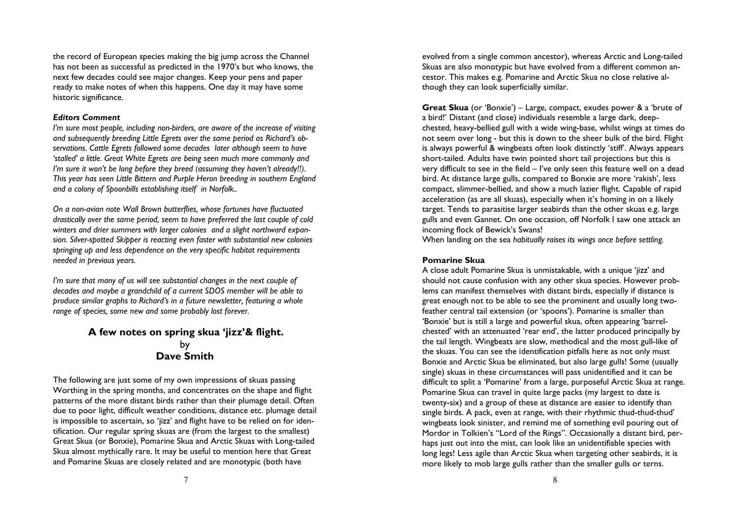the record of European species making the big jump across the Channel has not been as successful as predicted in the 1970's but who knows, the next few decades could see major changes. Keep your pens and paper ready to make notes of when this happens. One day it may have some historic significance.

#### Editors Comment

 I'm sure most people, including non-birders, are aware of the increase of visiting and subsequently breeding Little Egrets over the same period as Richard's observations. Cattle Egrets followed some decades later although seem to have 'stalled' a little. Great White Egrets are being seen much more commonly and I'm sure it won't be long before they breed (assuming they haven't already!!). This year has seen Little Bittern and Purple Heron breeding in southern England and a colony of Spoonbills establishing itself in Norfolk..

On a non-avian note Wall Brown butterflies, whose fortunes have fluctuated drastically over the same period, seem to have preferred the last couple of cold winters and drier summers with larger colonies and a slight northward expansion. Silver-spotted Skipper is reacting even faster with substantial new colonies springing up and less dependence on the very specific habitat requirements needed in previous years.

I'm sure that many of us will see substantial changes in the next couple of decades and maybe a grandchild of a current SDOS member will be able to produce similar graphs to Richard's in a future newsletter, featuring a whole range of species, some new and some probably lost forever.

## A few notes on spring skua 'jizz'& flight. by Dave Smith

The following are just some of my own impressions of skuas passing Worthing in the spring months, and concentrates on the shape and flight patterns of the more distant birds rather than their plumage detail. Often due to poor light, difficult weather conditions, distance etc. plumage detail is impossible to ascertain, so 'jizz' and flight have to be relied on for identification. Our regular spring skuas are (from the largest to the smallest) Great Skua (or Bonxie), Pomarine Skua and Arctic Skuas with Long-tailed Skua almost mythically rare. It may be useful to mention here that Great and Pomarine Skuas are closely related and are monotypic (both have

evolved from a single common ancestor), whereas Arctic and Long-tailed Skuas are also monotypic but have evolved from a different common ancestor. This makes e.g. Pomarine and Arctic Skua no close relative although they can look superficially similar.

Great Skua (or 'Bonxie') – Large, compact, exudes power & a 'brute of a bird!' Distant (and close) individuals resemble a large dark, deepchested, heavy-bellied gull with a wide wing-base, whilst wings at times do not seem over long - but this is down to the sheer bulk of the bird. Flight is always powerful & wingbeats often look distinctly 'stiff'. Always appears short-tailed. Adults have twin pointed short tail projections but this is very difficult to see in the field – I've only seen this feature well on a dead bird. At distance large gulls, compared to Bonxie are more 'rakish', less compact, slimmer-bellied, and show a much lazier flight. Capable of rapid acceleration (as are all skuas), especially when it's homing in on a likely target. Tends to parasitise larger seabirds than the other skuas e.g. large gulls and even Gannet. On one occasion, off Norfolk I saw one attack an incoming flock of Bewick's Swans!

When landing on the sea habitually raises its wings once before settling.

### Pomarine Skua

A close adult Pomarine Skua is unmistakable, with a unique 'jizz' and should not cause confusion with any other skua species. However problems can manifest themselves with distant birds, especially if distance is great enough not to be able to see the prominent and usually long twofeather central tail extension (or 'spoons'). Pomarine is smaller than 'Bonxie' but is still a large and powerful skua, often appearing 'barrelchested' with an attenuated 'rear end', the latter produced principally by the tail length. Wingbeats are slow, methodical and the most gull-like of the skuas. You can see the identification pitfalls here as not only must Bonxie and Arctic Skua be eliminated, but also large gulls! Some (usually single) skuas in these circumstances will pass unidentified and it can be difficult to split a 'Pomarine' from a large, purposeful Arctic Skua at range. Pomarine Skua can travel in quite large packs (my largest to date is twenty-six) and a group of these at distance are easier to identify than single birds. A pack, even at range, with their rhythmic thud-thud-thud' wingbeats look sinister, and remind me of something evil pouring out of Mordor in Tolkien's "Lord of the Rings". Occasionally a distant bird, perhaps just out into the mist, can look like an unidentifiable species with long legs! Less agile than Arctic Skua when targeting other seabirds, it is more likely to mob large gulls rather than the smaller gulls or terns.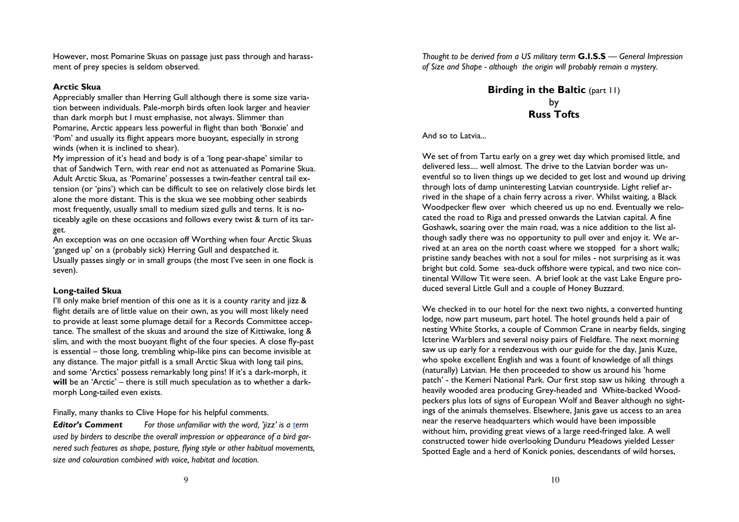However, most Pomarine Skuas on passage just pass through and harassment of prey species is seldom observed.

### Arctic Skua

 Appreciably smaller than Herring Gull although there is some size variation between individuals. Pale-morph birds often look larger and heavier than dark morph but I must emphasise, not always. Slimmer than Pomarine, Arctic appears less powerful in flight than both 'Bonxie' and 'Pom' and usually its flight appears more buoyant, especially in strong winds (when it is inclined to shear).

 My impression of it's head and body is of a 'long pear-shape' similar to that of Sandwich Tern, with rear end not as attenuated as Pomarine Skua. Adult Arctic Skua, as 'Pomarine' possesses a twin-feather central tail extension (or 'pins') which can be difficult to see on relatively close birds let alone the more distant. This is the skua we see mobbing other seabirds most frequently, usually small to medium sized gulls and terns. It is noticeably agile on these occasions and follows every twist & turn of its target.

 An exception was on one occasion off Worthing when four Arctic Skuas 'ganged up' on a (probably sick) Herring Gull and despatched it. Usually passes singly or in small groups (the most I've seen in one flock is seven).

## Long-tailed Skua

 I'll only make brief mention of this one as it is a county rarity and jizz & flight details are of little value on their own, as you will most likely need to provide at least some plumage detail for a Records Committee acceptance. The smallest of the skuas and around the size of Kittiwake, long & slim, and with the most buoyant flight of the four species. A close fly-past is essential – those long, trembling whip-like pins can become invisible at any distance. The major pitfall is a small Arctic Skua with long tail pins, and some 'Arctics' possess remarkably long pins! If it's a dark-morph, it will be an 'Arctic' – there is still much speculation as to whether a darkmorph Long-tailed even exists.

Finally, many thanks to Clive Hope for his helpful comments.

**Editor's Comment** For those unfamiliar with the word, 'jizz' is a term used by birders to describe the overall impression or appearance of a bird garnered such features as shape, posture, flying style or other habitual movements, size and colouration combined with voice, habitat and location.

Thought to be derived from a US military term **G.I.S.S** — General Impression<br>of Size and Shape - although, the origin will probably remain a mystery of Size and Shape - although the origin will probably remain a mystery.

> Birding in the Baltic (part 11) by Russ Tofts

And so to Latvia...

We set of from Tartu early on a grey wet day which promised little, and delivered less.... well almost. The drive to the Latvian border was uneventful so to liven things up we decided to get lost and wound up driving through lots of damp uninteresting Latvian countryside. Light relief arrived in the shape of a chain ferry across a river. Whilst waiting, a Black Woodpecker flew over which cheered us up no end. Eventually we relocated the road to Riga and pressed onwards the Latvian capital. A fine Goshawk, soaring over the main road, was a nice addition to the list although sadly there was no opportunity to pull over and enjoy it. We arrived at an area on the north coast where we stopped for a short walk; pristine sandy beaches with not a soul for miles - not surprising as it was bright but cold. Some sea-duck offshore were typical, and two nice continental Willow Tit were seen. A brief look at the vast Lake Engure produced several Little Gull and a couple of Honey Buzzard.

We checked in to our hotel for the next two nights, a converted hunting lodge, now part museum, part hotel. The hotel grounds held a pair of nesting White Storks, a couple of Common Crane in nearby fields, singing Icterine Warblers and several noisy pairs of Fieldfare. The next morning saw us up early for a rendezvous with our guide for the day, Janis Kuze, who spoke excellent English and was a fount of knowledge of all things (naturally) Latvian. He then proceeded to show us around his 'home patch' - the Kemeri National Park. Our first stop saw us hiking through a heavily wooded area producing Grey-headed and White-backed Woodpeckers plus lots of signs of European Wolf and Beaver although no sightings of the animals themselves. Elsewhere, Janis gave us access to an area near the reserve headquarters which would have been impossible without him, providing great views of a large reed-fringed lake. A well constructed tower hide overlooking Dunduru Meadows yielded Lesser Spotted Eagle and a herd of Konick ponies, descendants of wild horses,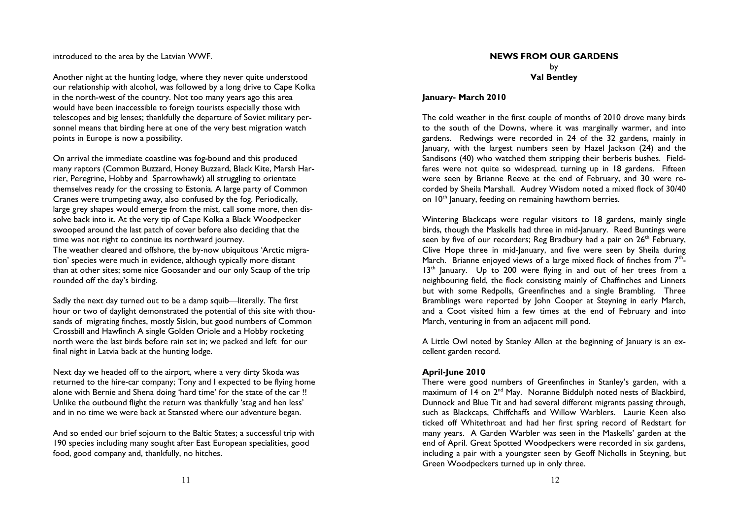introduced to the area by the Latvian WWF.

Another night at the hunting lodge, where they never quite understood our relationship with alcohol, was followed by a long drive to Cape Kolka in the north-west of the country. Not too many years ago this area would have been inaccessible to foreign tourists especially those with telescopes and big lenses; thankfully the departure of Soviet military personnel means that birding here at one of the very best migration watch points in Europe is now a possibility.

On arrival the immediate coastline was fog-bound and this produced many raptors (Common Buzzard, Honey Buzzard, Black Kite, Marsh Harrier, Peregrine, Hobby and Sparrowhawk) all struggling to orientate themselves ready for the crossing to Estonia. A large party of Common Cranes were trumpeting away, also confused by the fog. Periodically, large grey shapes would emerge from the mist, call some more, then dissolve back into it. At the very tip of Cape Kolka a Black Woodpecker swooped around the last patch of cover before also deciding that the time was not right to continue its northward journey. The weather cleared and offshore, the by-now ubiquitous 'Arctic migration' species were much in evidence, although typically more distant than at other sites; some nice Goosander and our only Scaup of the trip rounded off the day's birding.

Sadly the next day turned out to be a damp squib—literally. The first hour or two of daylight demonstrated the potential of this site with thousands of migrating finches, mostly Siskin, but good numbers of Common Crossbill and Hawfinch A single Golden Oriole and a Hobby rocketing north were the last birds before rain set in; we packed and left for our final night in Latvia back at the hunting lodge.

Next day we headed off to the airport, where a very dirty Skoda was returned to the hire-car company; Tony and I expected to be flying home alone with Bernie and Shena doing 'hard time' for the state of the car !! Unlike the outbound flight the return was thankfully 'stag and hen less' and in no time we were back at Stansted where our adventure began.

And so ended our brief sojourn to the Baltic States; a successful trip with 190 species including many sought after East European specialities, good food, good company and, thankfully, no hitches.

### NEWS FROM OUR GARDENS by Val Bentley

#### January- March 2010

The cold weather in the first couple of months of 2010 drove many birds to the south of the Downs, where it was marginally warmer, and into gardens. Redwings were recorded in 24 of the 32 gardens, mainly in January, with the largest numbers seen by Hazel Jackson (24) and the Sandisons (40) who watched them stripping their berberis bushes. Fieldfares were not quite so widespread, turning up in 18 gardens. Fifteen were seen by Brianne Reeve at the end of February, and 30 were recorded by Sheila Marshall. Audrey Wisdom noted a mixed flock of 30/40 on 10<sup>th</sup> January, feeding on remaining hawthorn berries.

Wintering Blackcaps were regular visitors to 18 gardens, mainly single birds, though the Maskells had three in mid-January. Reed Buntings were seen by five of our recorders; Reg Bradbury had a pair on 26<sup>th</sup> February, Clive Hope three in mid-January, and five were seen by Sheila during March. Brianne enjoyed views of a large mixed flock of finches from  $7<sup>th</sup>$ -13<sup>th</sup> January. Up to 200 were flying in and out of her trees from a neighbouring field, the flock consisting mainly of Chaffinches and Linnets but with some Redpolls, Greenfinches and a single Brambling. Three Bramblings were reported by John Cooper at Steyning in early March, and a Coot visited him a few times at the end of February and into March, venturing in from an adjacent mill pond.

A Little Owl noted by Stanley Allen at the beginning of January is an excellent garden record.

#### April-June 2010

 There were good numbers of Greenfinches in Stanley's garden, with a maximum of 14 on 2<sup>nd</sup> May. Noranne Biddulph noted nests of Blackbird, Dunnock and Blue Tit and had several different migrants passing through, such as Blackcaps, Chiffchaffs and Willow Warblers. Laurie Keen also ticked off Whitethroat and had her first spring record of Redstart for many years. A Garden Warbler was seen in the Maskells' garden at the end of April. Great Spotted Woodpeckers were recorded in six gardens, including a pair with a youngster seen by Geoff Nicholls in Steyning, but Green Woodpeckers turned up in only three.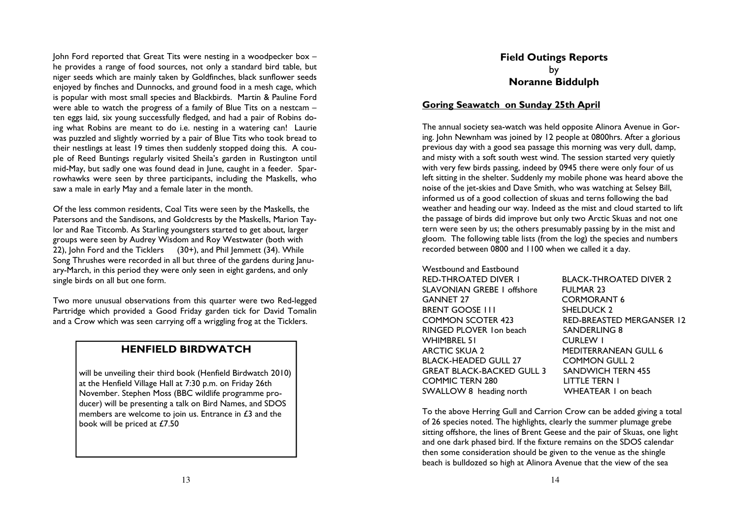John Ford reported that Great Tits were nesting in a woodpecker box – he provides a range of food sources, not only a standard bird table, but niger seeds which are mainly taken by Goldfinches, black sunflower seeds enjoyed by finches and Dunnocks, and ground food in a mesh cage, which is popular with most small species and Blackbirds. Martin & Pauline Ford were able to watch the progress of a family of Blue Tits on a nestcam – ten eggs laid, six young successfully fledged, and had a pair of Robins doing what Robins are meant to do i.e. nesting in a watering can! Laurie was puzzled and slightly worried by a pair of Blue Tits who took bread to their nestlings at least 19 times then suddenly stopped doing this. A couple of Reed Buntings regularly visited Sheila's garden in Rustington until mid-May, but sadly one was found dead in June, caught in a feeder. Sparrowhawks were seen by three participants, including the Maskells, who saw a male in early May and a female later in the month.

Of the less common residents, Coal Tits were seen by the Maskells, the Patersons and the Sandisons, and Goldcrests by the Maskells, Marion Taylor and Rae Titcomb. As Starling youngsters started to get about, larger groups were seen by Audrey Wisdom and Roy Westwater (both with 22), John Ford and the Ticklers (30+), and Phil Jemmett (34). While Song Thrushes were recorded in all but three of the gardens during January-March, in this period they were only seen in eight gardens, and only single birds on all but one form.

Two more unusual observations from this quarter were two Red-legged Partridge which provided a Good Friday garden tick for David Tomalin and a Crow which was seen carrying off a wriggling frog at the Ticklers.

## HENFIELD BIRDWATCH

will be unveiling their third book (Henfield Birdwatch 2010)at the Henfield Village Hall at 7:30 p.m. on Friday 26th November. Stephen Moss (BBC wildlife programme producer) will be presenting a talk on Bird Names, and SDOS members are welcome to join us. Entrance in £3 and the book will be priced at £7.50

## Field Outings Reports by Noranne Biddulph

## Goring Seawatch on Sunday 25th April

The annual society sea-watch was held opposite Alinora Avenue in Goring. John Newnham was joined by 12 people at 0800hrs. After a glorious previous day with a good sea passage this morning was very dull, damp, and misty with a soft south west wind. The session started very quietly with very few birds passing, indeed by 0945 there were only four of us left sitting in the shelter. Suddenly my mobile phone was heard above the noise of the jet-skies and Dave Smith, who was watching at Selsey Bill, informed us of a good collection of skuas and terns following the bad weather and heading our way. Indeed as the mist and cloud started to lift the passage of birds did improve but only two Arctic Skuas and not one tern were seen by us; the others presumably passing by in the mist and gloom. The following table lists (from the log) the species and numbers recorded between 0800 and 1100 when we called it a day.

Westbound and Eastbound **RED-THROATED DIVER I** SLAVONIAN GREBE 1 offshore FULMAR 23 GANNET 27 CORMORANT 6 BRENT GOOSE III SHELDUCK 2 RINGED PLOVER 1on beach SANDERLING 8 WHIMBREL 51 CURLEW I ARCTIC SKUA 2 MEDITERRANEAN GULL 6 BLACK-HEADED GULL 27 COMMON GULL 2 **GREAT BLACK-BACKED GULL 3** COMMIC TERN 280 LITTLE TERN 1 SWALLOW 8 heading north

**BLACK-THROATED DIVER 2**  COMMON SCOTER 423 RED-BREASTED MERGANSER 12 **SANDWICH TERN 455** WHEATEAR I on beach

To the above Herring Gull and Carrion Crow can be added giving a total of 26 species noted. The highlights, clearly the summer plumage grebe sitting offshore, the lines of Brent Geese and the pair of Skuas, one light and one dark phased bird. If the fixture remains on the SDOS calendar then some consideration should be given to the venue as the shingle beach is bulldozed so high at Alinora Avenue that the view of the sea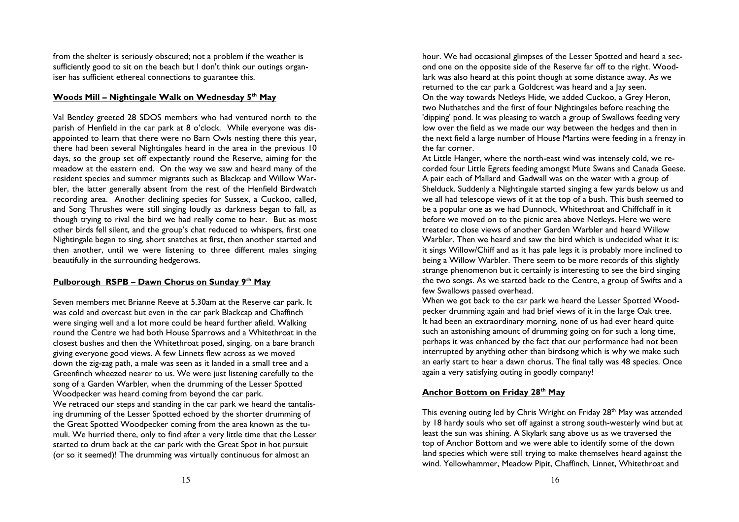from the shelter is seriously obscured; not a problem if the weather is sufficiently good to sit on the beach but I don't think our outings organiser has sufficient ethereal connections to guarantee this.

## Woods Mill – Nightingale Walk on Wednesday  $5<sup>th</sup>$  May

Val Bentley greeted 28 SDOS members who had ventured north to the parish of Henfield in the car park at 8 o'clock. While everyone was disappointed to learn that there were no Barn Owls nesting there this year, there had been several Nightingales heard in the area in the previous 10 days, so the group set off expectantly round the Reserve, aiming for the meadow at the eastern end. On the way we saw and heard many of the resident species and summer migrants such as Blackcap and Willow Warbler, the latter generally absent from the rest of the Henfield Birdwatch recording area. Another declining species for Sussex, a Cuckoo, called, and Song Thrushes were still singing loudly as darkness began to fall, as though trying to rival the bird we had really come to hear. But as most other birds fell silent, and the group's chat reduced to whispers, first one Nightingale began to sing, short snatches at first, then another started and then another, until we were listening to three different males singing beautifully in the surrounding hedgerows.

## Pulborough RSPB – Dawn Chorus on Sunday 9th May

Seven members met Brianne Reeve at 5.30am at the Reserve car park. It was cold and overcast but even in the car park Blackcap and Chaffinch were singing well and a lot more could be heard further afield. Walking round the Centre we had both House Sparrows and a Whitethroat in the closest bushes and then the Whitethroat posed, singing, on a bare branch giving everyone good views. A few Linnets flew across as we moved down the zig-zag path, a male was seen as it landed in a small tree and a Greenfinch wheezed nearer to us. We were just listening carefully to the song of a Garden Warbler, when the drumming of the Lesser Spotted Woodpecker was heard coming from beyond the car park. We retraced our steps and standing in the car park we heard the tantalising drumming of the Lesser Spotted echoed by the shorter drumming of the Great Spotted Woodpecker coming from the area known as the tumuli. We hurried there, only to find after a very little time that the Lesser started to drum back at the car park with the Great Spot in hot pursuit (or so it seemed)! The drumming was virtually continuous for almost an

hour. We had occasional glimpses of the Lesser Spotted and heard a second one on the opposite side of the Reserve far off to the right. Woodlark was also heard at this point though at some distance away. As we returned to the car park a Goldcrest was heard and a Jay seen. On the way towards Netleys Hide, we added Cuckoo, a Grey Heron, two Nuthatches and the first of four Nightingales before reaching the 'dipping' pond. It was pleasing to watch a group of Swallows feeding very low over the field as we made our way between the hedges and then in the next field a large number of House Martins were feeding in a frenzy in the far corner.

 At Little Hanger, where the north-east wind was intensely cold, we recorded four Little Egrets feeding amongst Mute Swans and Canada Geese. A pair each of Mallard and Gadwall was on the water with a group of Shelduck. Suddenly a Nightingale started singing a few yards below us and we all had telescope views of it at the top of a bush. This bush seemed to be a popular one as we had Dunnock, Whitethroat and Chiffchaff in it before we moved on to the picnic area above Netleys. Here we were treated to close views of another Garden Warbler and heard Willow Warbler. Then we heard and saw the bird which is undecided what it is: it sings Willow/Chiff and as it has pale legs it is probably more inclined to being a Willow Warbler. There seem to be more records of this slightly strange phenomenon but it certainly is interesting to see the bird singing the two songs. As we started back to the Centre, a group of Swifts and a few Swallows passed overhead.

 When we got back to the car park we heard the Lesser Spotted Woodpecker drumming again and had brief views of it in the large Oak tree. It had been an extraordinary morning, none of us had ever heard quite such an astonishing amount of drumming going on for such a long time, perhaps it was enhanced by the fact that our performance had not been interrupted by anything other than birdsong which is why we make such an early start to hear a dawn chorus. The final tally was 48 species. Once again a very satisfying outing in goodly company!

## Anchor Bottom on Friday 28<sup>th</sup> May

This evening outing led by Chris Wright on Friday 28<sup>th</sup> May was attended by 18 hardy souls who set off against a strong south-westerly wind but at least the sun was shining. A Skylark sang above us as we traversed the top of Anchor Bottom and we were able to identify some of the down land species which were still trying to make themselves heard against the wind. Yellowhammer, Meadow Pipit, Chaffinch, Linnet, Whitethroat and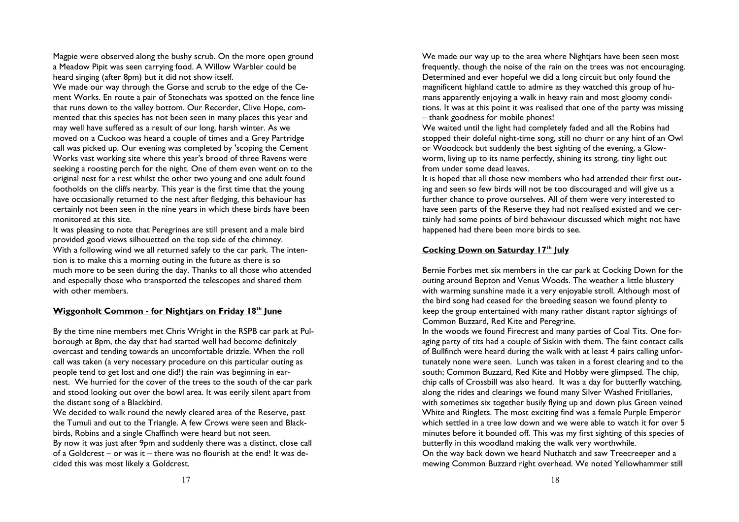Magpie were observed along the bushy scrub. On the more open ground a Meadow Pipit was seen carrying food. A Willow Warbler could be heard singing (after 8pm) but it did not show itself.

 We made our way through the Gorse and scrub to the edge of the Cement Works. En route a pair of Stonechats was spotted on the fence line that runs down to the valley bottom. Our Recorder, Clive Hope, commented that this species has not been seen in many places this year and may well have suffered as a result of our long, harsh winter. As we moved on a Cuckoo was heard a couple of times and a Grey Partridge call was picked up. Our evening was completed by 'scoping the Cement Works vast working site where this year's brood of three Ravens were seeking a roosting perch for the night. One of them even went on to the original nest for a rest whilst the other two young and one adult found footholds on the cliffs nearby. This year is the first time that the young have occasionally returned to the nest after fledging, this behaviour has certainly not been seen in the nine years in which these birds have been monitored at this site.

 It was pleasing to note that Peregrines are still present and a male bird provided good views silhouetted on the top side of the chimney. With a following wind we all returned safely to the car park. The intention is to make this a morning outing in the future as there is so much more to be seen during the day. Thanks to all those who attended and especially those who transported the telescopes and shared them with other members

#### Wiggonholt Common - for Nightjars on Friday 18th June

By the time nine members met Chris Wright in the RSPB car park at Pulborough at 8pm, the day that had started well had become definitely overcast and tending towards an uncomfortable drizzle. When the roll call was taken (a very necessary procedure on this particular outing as people tend to get lost and one did!) the rain was beginning in earnest. We hurried for the cover of the trees to the south of the car park and stood looking out over the bowl area. It was eerily silent apart from the distant song of a Blackbird.

 We decided to walk round the newly cleared area of the Reserve, past the Tumuli and out to the Triangle. A few Crows were seen and Blackbirds, Robins and a single Chaffinch were heard but not seen.

 By now it was just after 9pm and suddenly there was a distinct, close call of a Goldcrest – or was it – there was no flourish at the end! It was decided this was most likely a Goldcrest.

We made our way up to the area where Nightjars have been seen most frequently, though the noise of the rain on the trees was not encouraging. Determined and ever hopeful we did a long circuit but only found the magnificent highland cattle to admire as they watched this group of humans apparently enjoying a walk in heavy rain and most gloomy conditions. It was at this point it was realised that one of the party was missing – thank goodness for mobile phones!

 We waited until the light had completely faded and all the Robins had stopped their doleful night-time song, still no churr or any hint of an Owl or Woodcock but suddenly the best sighting of the evening, a Glowworm, living up to its name perfectly, shining its strong, tiny light out from under some dead leaves.

 It is hoped that all those new members who had attended their first outing and seen so few birds will not be too discouraged and will give us a further chance to prove ourselves. All of them were very interested to have seen parts of the Reserve they had not realised existed and we certainly had some points of bird behaviour discussed which might not have happened had there been more birds to see.

#### Cocking Down on Saturday 17<sup>th</sup> July

Bernie Forbes met six members in the car park at Cocking Down for the outing around Bepton and Venus Woods. The weather a little blustery with warming sunshine made it a very enjoyable stroll. Although most of the bird song had ceased for the breeding season we found plenty to keep the group entertained with many rather distant raptor sightings of Common Buzzard, Red Kite and Peregrine.

 In the woods we found Firecrest and many parties of Coal Tits. One foraging party of tits had a couple of Siskin with them. The faint contact calls of Bullfinch were heard during the walk with at least 4 pairs calling unfortunately none were seen. Lunch was taken in a forest clearing and to the south; Common Buzzard, Red Kite and Hobby were glimpsed. The chip, chip calls of Crossbill was also heard. It was a day for butterfly watching, along the rides and clearings we found many Silver Washed Fritillaries, with sometimes six together busily flying up and down plus Green veined White and Ringlets. The most exciting find was a female Purple Emperor which settled in a tree low down and we were able to watch it for over 5 minutes before it bounded off. This was my first sighting of this species of butterfly in this woodland making the walk very worthwhile. On the way back down we heard Nuthatch and saw Treecreeper and a

mewing Common Buzzard right overhead. We noted Yellowhammer still